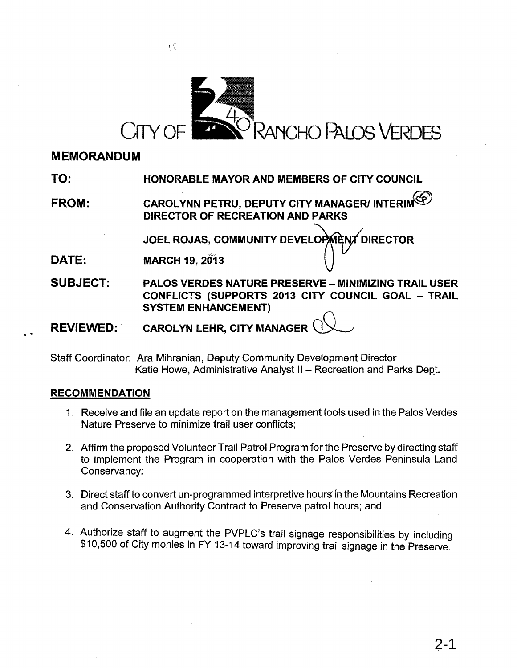

## **MEMORANDUM**

**TO: HONORABLE MAYOR AND MEMBERS OF CITY COUNCIL**

**FROM: CAROLYNN PETRU, DEPUTY CITY MANAGER/ INTERIN DIRECTOR OF RECREATION AND PARKS**

JOEL ROJAS, COMMUNITY DEVELOPMENT DIRECTOR

**DATE: MARCH 19, 2013** 

 $\int$ 

**SUBJECT: PALOS VERDES NATURE PRESERVE - MINIMIZING TRAIL USER CONFLICTS (SUPPORTS 2013 CITY COUNCIL GOAL - TRAIL SYSTEM ENHANCEMENT)**

**REVIEWED: CAROLYN LEHR, CITY MANAGER**

Staff Coordinator: Ara Mihranian, Deputy Community Development Director Katie Howe, Administrative Analyst II - Recreation and Parks Dept.

## **RECOMMENDATION**

..

- 1. Receive and file an update report on the management tools used in the Palos Verdes Nature Preserve to minimize trail user conflicts;
- 2. Affirm the proposed Volunteer Trail Patrol Program for the Preserve by directing staff to implement the Program in cooperation with the Palos Verdes Peninsula Land Conservancy;
- 3. Direct staff to convert un-programmed interpretive hours' fn the Mountains Recreation and Conservation Authority Contract to Preserve patrol hours; and
- 4. Authorize staff to augment the PVPLC's trail signage responsibilities by including \$10,500 of City monies in FY 13-14 toward improving trail signage in the Preserve.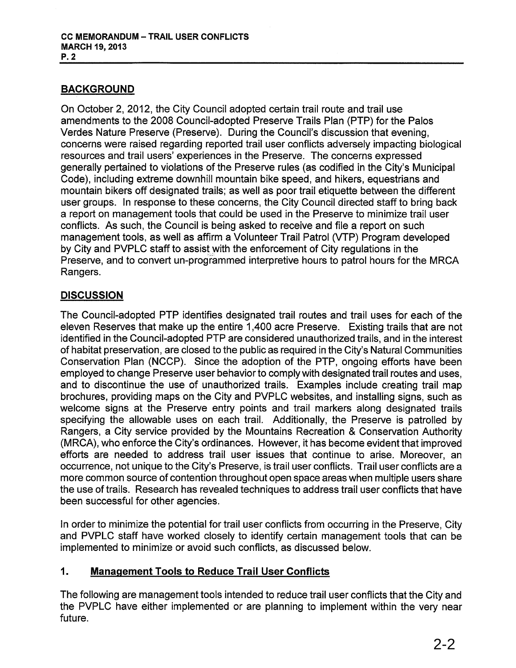## BACKGROUND

On October 2,2012, the City Council adopted certain trail route and trail use amendments to the 2008 Council-adopted Preserve Trails Plan (PTP) for the Palos Verdes Nature Preserve (Preserve). During the Council's discussion that evening, concerns were raised regarding reported trail user conflicts adversely impacting biological resources and trail users' experiences in the Preserve. The concerns expressed generally pertained to violations of the Preserve rules (as codified in the City's Municipal Code), including extreme downhill mountain bike speed, and hikers, equestrians and mountain bikers off designated trails; as well as poor trail etiquette between the different user groups. In response to these concerns, the City Council directed staff to bring back a report on management tools that could be used in the Preserve to minimize trail user conflicts. As such, the Council is being asked to receive and file a report on such management tools, as well as affirm a Volunteer Trail Patrol (VTP) Program developed by City and PVPLC staff to assist with the enforcement of City regulations in the Preserve, and to convert un-programmed interpretive hours to patrol hours for the MRCA Rangers.

## **DISCUSSION**

The Council-adopted PTP identifies designated trail routes and trail uses for each of the eleven Reserves that make up the entire 1,400 acre Preserve. Existing trails that are not identified in the Council-adopted PTP are considered unauthorized trails, and in the interest of habitat preservation, are closed to the public as required in the City's Natural Communities Conservation Plan (NCCP). Since the adoption of the PTP, ongoing efforts have been employed to change Preserve user behavior to comply with designated trail routes and uses, and to discontinue the use of unauthorized trails. Examples include creating trail map brochures, providing maps on the City and PVPLC websites, and installing signs, such as welcome signs at the Preserve entry points and trail markers along designated trails specifying the allowable uses on each trail. Additionally, the Preserve is patrolled by Rangers, a City service provided by the Mountains Recreation & Conservation Authority (MRCA), who enforce the City's ordinances. However, it has become evident that improved efforts are needed to address trail user issues that continue to arise. Moreover, an occurrence, not unique to the City's Preserve, is trail user conflicts. Trail user conflicts are a more common source of contention throughout open space areas when multiple users share the use of trails. Research has revealed techniques to address trail user conflicts that have been successful for other agencies.

In order to minimize the potential for trail user conflicts from occurring in the Preserve, City and PVPLC staff have worked closely to identify certain management tools that can be implemented to minimize or avoid such conflicts, as discussed below.

## 1. Management Tools to Reduce Trail User Conflicts

The following are management tools intended to reduce trail user conflicts that the City and the PVPLC have either implemented or are planning to implement within the very near future.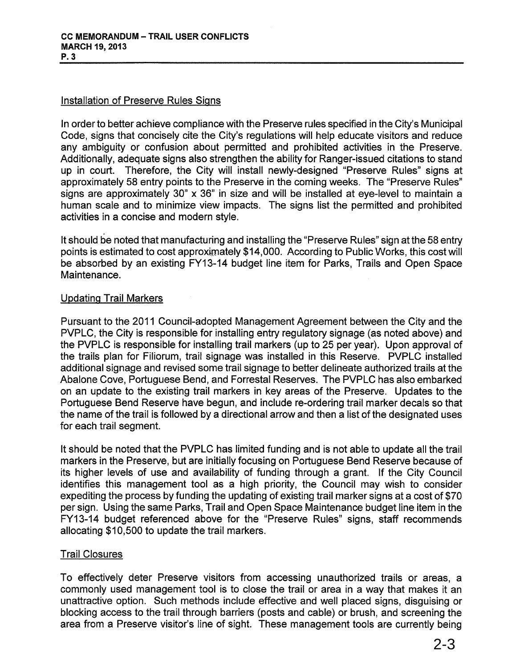## Installation of Preserve Rules Signs

In order to better achieve compliance with the Preserve rules specified in the City's Municipal Code, signs that concisely cite the City's regulations will help educate visitors and reduce any ambiguity or confusion about permitted and prohibited activities in the Preserve. Additionally, adequate signs also strengthen the ability for Ranger-issued citations to stand up in court. Therefore, the City will install newly-designed "Preserve Rules" signs at approximately 58 entry points to the Preserve in the coming weeks. The "Preserve Rules" signs are approximately 30" x 36" in size and will be installed at eye-level to maintain a human scale and to minimize view impacts. The signs list the permitted and prohibited activities in a concise and modern style.

It should be noted that manufacturing and installing the "Preserve Rules" sign at the 58 entry points is estimated to cost approximately \$14,000. According to Public Works, this cost will be absorbed by an existing FY13-14 budget line item for Parks, Trails and Open Space Maintenance.

## Updating Trail Markers

Pursuant to the 2011 Council-adopted Management Agreement between the City and the PVPLC, the City is responsible for installing entry regulatory signage (as noted above) and the PVPLC is responsible for installing trail markers (up to 25 per year). Upon approval of the trails plan for Filiorum, trail signage was installed in this Reserve. PVPLC installed additional signage and revised some trail signage to better delineate authorized trails at the Abalone Cove, Portuguese Bend, and Forrestal Reserves. The PVPLC has also embarked on an update to the existing trail markers in key areas of the Preserve. Updates to the Portuguese Bend Reserve have begun, and include re-ordering trail marker decals so that the name of the trail is followed by a directional arrow and then a list of the designated uses for each trail segment.

It should be noted that the PVPLC has limited funding and is not able to update all the trail markers in the Preserve, but are initially focusing on Portuguese Bend Reserve because of its higher levels of use and availability of funding through a grant. If the City Council identifies this management tool as a high priority, the Council may wish to consider expediting the process by funding the updating of existing trail marker signs at a cost of \$70 per sign. Using the same Parks, Trail and Open Space Maintenance budget line item in the FY13-14 budget referenced above for the "Preserve Rules" signs, staff recommends allocating \$10,500 to update the trail markers.

## Trail Closures

To effectively deter Preserve visitors from accessing unauthorized trails or areas, a commonly used management tool is to close the trail or area in a way that makes it an unattractive option. Such methods include effective and well placed signs, disguising or blocking access to the trail through barriers (posts and cable) or brush, and screening the area from a Preserve visitor's line of sight. These management tools are currently being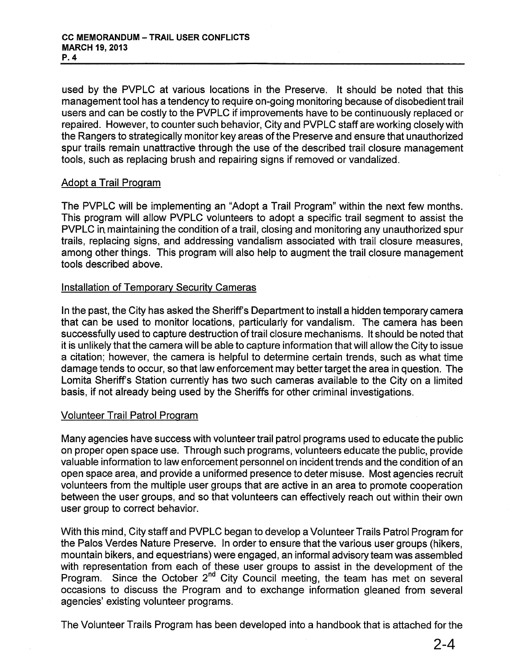used by the PVPLC at various locations in the Preserve. It should be noted that this management tool has a tendency to require on-going monitoring because of disobedient trail users and can be costly to the PVPLC if improvements have to be continuously replaced or repaired. However, to counter such behavior, City and PVPLC staff are working closely with the Rangers to strategically monitor key areas of the Preserve and ensure that unauthorized spur trails remain unattractive through the use of the described trail closure management tools, such as replacing brush and repairing signs if removed or vandalized.

#### Adopt a Trail Program

The PVPLC will be implementing an "Adopt a Trail Program" within the next few months. This program will allow PVPLC volunteers to adopt a specific trail segment to assist the PVPLC in. maintaining the condition of a trail, closing and monitoring any unauthorized spur trails, replacing signs, and addressing vandalism associated with trail closure measures, among other things. This program will also help to augment the trail closure management tools described above.

#### Installation of Temporary Security Cameras

In the past, the City has asked the Sheriff's Department to install a hidden temporary camera that can be used to monitor locations, particularly for vandalism. The camera has been successfully used to capture destruction of trail closure mechanisms. It should be noted that it is unlikely that the camera will be able to capture information that will allow the City to issue a citation; however, the camera is helpful to determine certain trends, such as what time damage tends to occur, so that law enforcement may better target the area in question. The Lomita Sheriff's Station currently has two such cameras available to the City on a limited basis, if not already being used by the Sheriffs for other criminal investigations.

## Volunteer Trail Patrol Program

Many agencies have success with volunteer trail patrol programs used to educate the public on proper open space use. Through such programs, volunteers educate the public, provide valuable information to law enforcement personnel on incident trends and the condition of an open space area, and provide a uniformed presence to deter misuse. Most agencies recruit volunteers from the multiple user groups that are active in an area to promote cooperation between the user groups, and so that volunteers can effectively reach out within their own user group to correct behavior.

With this mind, City staff and PVPLC began to develop a Volunteer Trails Patrol Program for the Palos Verdes Nature Preserve. In order to ensure that the various user groups (hikers, mountain bikers, and equestrians) were engaged, an informal advisory team was assembled with representation from each of these user groups to assist in the development of the Program. Since the October 2<sup>nd</sup> City Council meeting, the team has met on several occasions to discuss the Program and to exchange information gleaned from several agencies' existing volunteer programs.

The Volunteer Trails Program has been developed into a handbook that is attached for the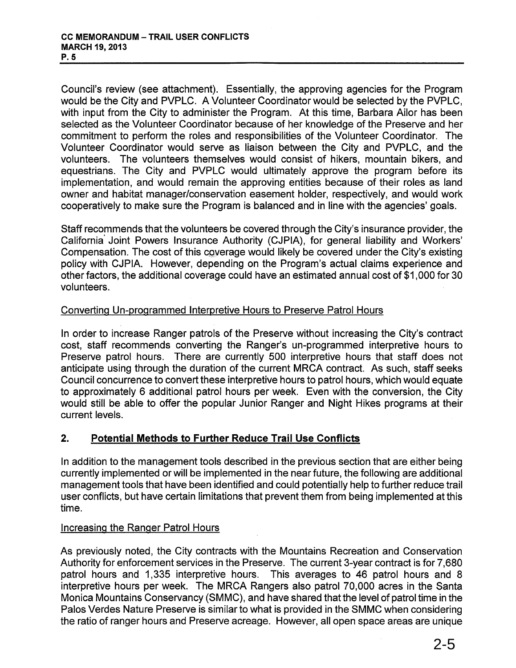Council's review (see attachment). Essentially, the approving agencies for the Program would be the City and PVPLC. A Volunteer Coordinator would be selected by the PVPLC, with input from the City to administer the Program. At this time, Barbara Ailor has been selected as the Volunteer Coordinator because of her knowledge of the Preserve and her commitment to perform the roles and responsibilities of the Volunteer Coordinator. The Volunteer Coordinator would serve as liaison between the City and PVPLC, and the volunteers. The volunteers themselves would consist of hikers, mountain bikers, and equestrians. The City and PVPLC would ultimately approve the program before its implementation, and would remain the approving entities because of their roles as land owner and habitat manager/conservation easement holder, respectively, and would work cooperatively to make sure the Program is balanced and in line with the agencies' goals.

Staff recommends that the volunteers be covered through the City's insurance provider, the California' Joint Powers Insurance Authority (CJPIA), for general liability and Workers' Compensation. The cost of this coverage would likely be covered under the City's existing policy with CJPIA. However, depending on the Program's actual claims experience and other factors, the additional coverage could have an estimated annual cost of \$1,000 for 30 volunteers.

#### Converting Un-programmed Interpretive Hours to Preserve Patrol Hours

In order to increase Ranger patrols of the Preserve without increasing the City's contract cost, staff recommends converting the Ranger's un-programmed interpretive hours to Preserve patrol hours. There are currently 500 interpretive hours that staff does not anticipate using through the duration of the current MRCA contract. As such, staff seeks Council concurrence to convert these interpretive hours to patrol hours, which would equate to approximately 6 additional patrol hours per week. Even with the conversion, the City would still be able to offer the popular Junior Ranger and Night Hikes programs at their current levels.

## 2. Potential Methods to Further Reduce Trail Use Conflicts

In addition to the management tools described in the previous section that are either being currently implemented or will be implemented in the near future, the following are additional management tools that have been identified and could potentially help to further reduce trail user conflicts, but have certain limitations that prevent them from being implemented at this time.

#### Increasing the Ranger Patrol Hours

As previously noted, the City contracts with the Mountains Recreation and Conservation Authority for enforcement services in the Preserve. The current 3-year contract is for 7,680 patrol hours and 1,335 interpretive hours. This averages to 46 patrol hours and 8 interpretive hours per week. The MRCA Rangers also patrol 70,000 acres in the Santa Monica Mountains Conservancy (SMMC), and have shared that the level of patrol time in the Palos Verdes Nature Preserve is similar to what is provided in the SMMC when considering the ratio of ranger hours and Preserve acreage. However, all open space areas are unique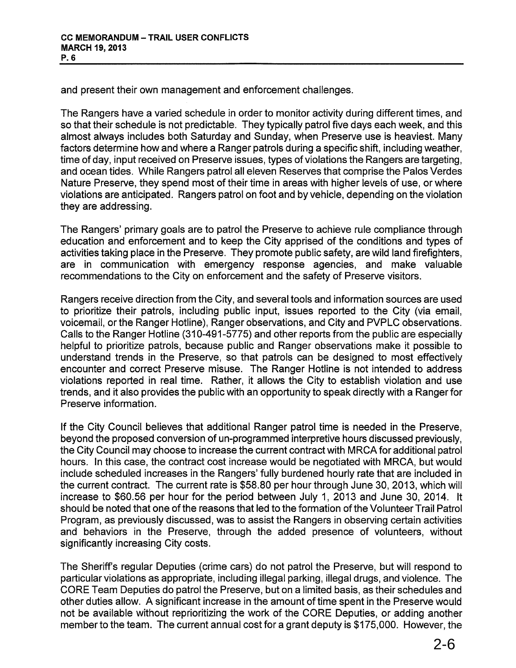and present their own management and enforcement challenges.

The Rangers have a varied schedule in order to monitor activity during different times, and so that their schedule is not predictable. They typically patrol five days each week, and this almost always includes both Saturday and Sunday, when Preserve use is heaviest. Many factors determine how and where a Ranger patrols during a specific shift, including weather, time of day, input received on Preserve issues, types of violations the Rangers are targeting, and ocean tides. While Rangers patrol all eleven Reserves that comprise the Palos Verdes Nature Preserve, they spend most of their time in areas with higher levels of use, or where violations are anticipated. Rangers patrol on foot and by vehicle, depending on the violation they are addressing.

The Rangers' primary goals are to patrol the Preserve to achieve rule compliance through education and enforcement and to keep the City apprised of the conditions and types of activities taking place in the Preserve. They promote public safety, are wild land firefighters, are in communication with emergency response agencies, and make valuable recommendations to the City on enforcement and the safety of Preserve visitors.

Rangers receive direction from the City, and several tools and information sources are used to prioritize their patrols, including public input, issues reported to the City (via email, voicemail, or the Ranger Hotline), Ranger observations, and City and PVPLC observations. Calls to the Ranger Hotline (310-491-5775) and other reports from the public are especially helpful to prioritize patrols, because public and Ranger observations make it possible to understand trends in the Preserve, so that patrols can be designed to most effectively encounter and correct Preserve misuse. The Ranger Hotline is not intended to address violations reported in real time. Rather, it allows the City to establish violation and use trends, and it also provides the public with an opportunity to speak directly with a Ranger for Preserve information.

If the City Council believes that additional Ranger patrol time is needed in the Preserve, beyond the proposed conversion of un-programmed interpretive hours discussed previously, the City Council may choose to increase the current contract with MRCA for additional patrol hours. In this case, the contract cost increase would be negotiated with MRCA, but would include scheduled increases in the Rangers' fully burdened hourly rate that are included in the current contract. The current rate is \$58.80 per hour through June 30, 2013, which will increase to \$60.56 per hour for the period between July 1, 2013 and June 30, 2014. It should be noted that one of the reasons that led to the formation of the Volunteer Trail Patrol Program, as previously discussed, was to assist the Rangers in observing certain activities and behaviors in the Preserve, through the added presence of volunteers, without significantly increasing City costs.

The Sheriff's regular Deputies (crime cars) do not patrol the Preserve, but will respond to particular violations as appropriate, including illegal parking, illegal drugs, and violence. The CORE Team Deputies do patrol the Preserve, but on a limited basis, as their schedules and other duties allow. A significant increase in the amount of time spent in the Preserve would not be available without reprioritizing the work of the CORE Deputies, or adding another member to the team. The current annual cost for a grant deputy is \$175,000. However, the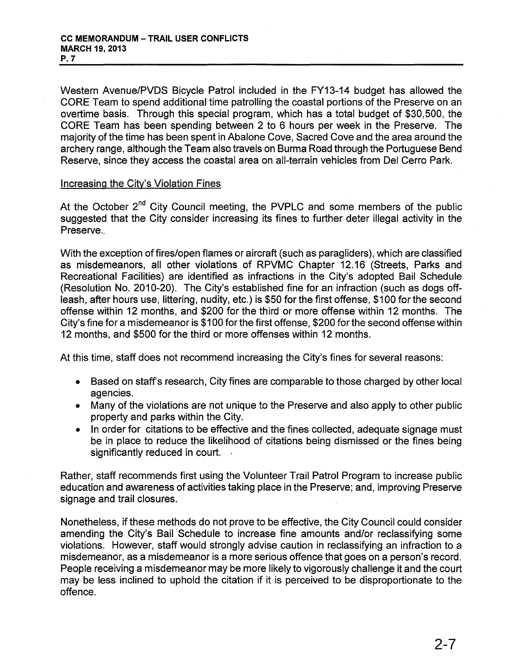Western Avenue/PVDS Bicycle Patrol included in the FY13-14 budget has allowed the CORE Team to spend additional time patrolling the coastal portions of the Preserve on an overtime basis. Through this special program, which has a total budget of \$30,500, the CORE Team has been spending between 2 to 6 hours per week in the Preserve. The majority of the time has been spent in Abalone Cove, Sacred Cove and the area around the archery range, although the Team also travels on Burma Road through the Portuguese Bend Reserve, since they access the coastal area on all-terrain vehicles from Del Cerro Park.

#### Increasing the City's Violation Fines

At the October 2<sup>nd</sup> City Council meeting, the PVPLC and some members of the public suggested that the City consider increasing its fines to further deter illegal activity in the Preserve..

With the exception of fires/open flames or aircraft (such as paragliders), which are classified as misdemeanors, all other violations of RPVMC Chapter 12.16 (Streets, Parks and Recreational Facilities) are identified as infractions in the City's adopted Bail Schedule (Resolution No. 2010-20). The City's established fine for an infraction (such as dogs offleash, after hours use, littering, nudity, etc.) is \$50 for the first offense, \$100 for the second offense within 12 months, and \$200 for the third or more offense within 12 months. The City's fine for a misdemeanor is \$100 for the first offense, \$200 for the second offense within 12 months, and \$500 for the third or more offenses within 12 months.

At this time, staff does not recommend increasing the City's fines for several reasons:

- Based on staff's research, City fines are comparable to those charged by other local agencies.
- Many of the violations are not unique to the Preserve and also apply to other public property and parks within the City.
- In order for citations to be effective and the fines collected, adequate signage must be in place to reduce the likelihood of citations being dismissed or the fines being significantly reduced in court.

Rather, staff recommends first using the Volunteer Trail Patrol Program to increase public education and awareness of activities taking place in the Preserve; and, improving Preserve signage and trail closures.

Nonetheless, if these methods do not prove to be effective, the City Council could consider amending the City's Bail Schedule to increase fine amounts and/or reclassifying some violations. However, staff would strongly advise caution in reclassifying an infraction to a misdemeanor, as a misdemeanor is a more serious offence that goes on a person's record. People receiving a misdemeanor may be more likely to vigorously challenge it and the court may be less inclined to uphold the citation if it is perceived to be disproportionate to the offence.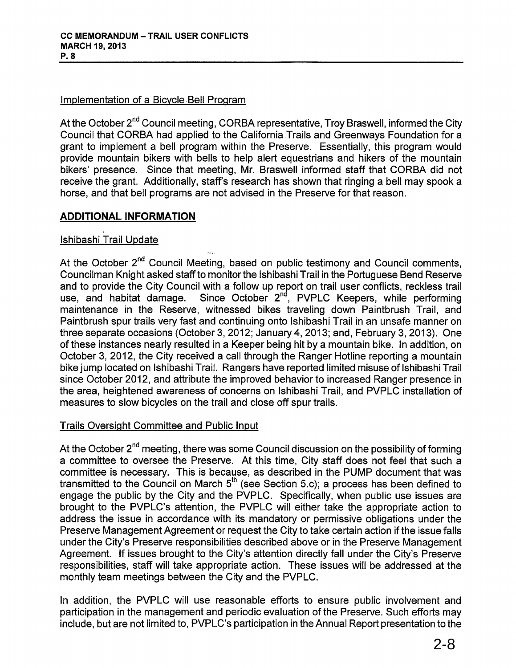## Implementation of a Bicycle Bell Program

At the October 2<sup>nd</sup> Council meeting, CORBA representative, Troy Braswell, informed the City Council that CORBA had applied to the California Trails and Greenways Foundation for a grant to implement a bell program within the Preserve. Essentially, this program would provide mountain bikers with bells to help alert equestrians and hikers of the mountain bikers' presence. Since that meeting, Mr. Braswell informed staff that CORBA did not receive the grant. Additionally, staff's research has shown that ringing a bell may spook a horse, and that bell programs are not advised in the Preserve for that reason.

## ADDITIONAL INFORMATION

## Ishibashi Trail Update

At the October 2<sup>nd</sup> Council Meeting, based on public testimony and Council comments, Councilman Knight asked staff to monitor the Ishibashi Trail in the Portuguese Bend Reserve and to provide the City Council with a follow up report on trail user conflicts, reckless trail use, and habitat damage. Since October 2<sup>nd</sup>, PVPLC Keepers, while performing maintenance in the Reserve, witnessed bikes traveling down Paintbrush Trail, and Paintbrush spur trails very fast and continuing onto Ishibashi Trail in an unsafe manner on three separate occasions (October 3,2012; January 4,2013; and, February 3, 2013). One of these instances nearly resulted in a Keeper being hit by a mountain bike. In addition, on October 3, 2012, the City received a call through the Ranger Hotline reporting a mountain bike jump located on Ishibashi Trail. Rangers have reported limited misuse of Ishibashi Trail since October 2012, and attribute the improved behavior to increased Ranger presence in the area, heightened awareness of concerns on Ishibashi Trail, and PVPLC installation of measures to slow bicycles on the trail and close off spur trails.

## Trails Oversight Committee and Public Input

At the October  $2^{nd}$  meeting, there was some Council discussion on the possibility of forming a committee to oversee the Preserve. At this time, City staff does not feel that such a committee is necessary. This is because, as described in the PUMP document that was transmitted to the Council on March 5<sup>th</sup> (see Section 5.c); a process has been defined to engage the public by the City and the PVPLC. Specifically, when public use issues are brought to the PVPLC's attention, the PVPLC will either take the appropriate action to address the issue in accordance with its mandatory or permissive obligations under the Preserve Management Agreement or request the City to take certain action if the issue falls under the City's Preserve responsibilities described above or in the Preserve Management Agreement. If issues brought to the City's attention directly fall under the City's Preserve responsibilities, staff will take appropriate action. These issues will be addressed at the monthly team meetings between the City and the PVPLC.

In addition, the PVPLC will use reasonable efforts to ensure public involvement and participation in the management and periodic evaluation of the Preserve. Such efforts may include, but are not limited to, PVPLC's participation in the Annual Report presentation to the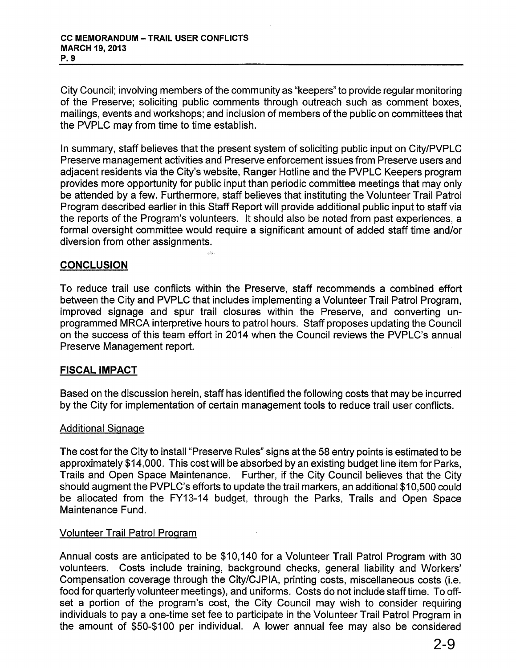City Council; involving members of the community as "keepers" to provide regular monitoring of the Preserve; soliciting public comments through outreach such as comment boxes, mailings, events and workshops; and inclusion of members of the public on committees that the PVPLC may from time to time establish.

In summary, staff believes that the present system of soliciting public input on City/PVPLC Preserve management activities and Preserve enforcement issues from Preserve users and adjacent residents via the City's website, Ranger Hotline and the PVPLC Keepers program provides more opportunity for public input than periodic committee meetings that may only be attended by a few. Furthermore, staff believes that instituting the Volunteer Trail Patrol Program described earlier in this Staff Report will provide additional public input to staff via the reports of the Program's volunteers. It should also be noted from past experiences, a formal oversight committee would require a significant amount of added staff time and/or diversion from other assignments.

## **CONCLUSION**

To reduce trail use conflicts within the Preserve, staff recommends a combined effort between the City and PVPLC that includes implementing a Volunteer Trail Patrol Program, improved signage and spur trail closures within the Preserve, and converting unprogrammed MRCA interpretive hours to patrol hours. Staff proposes updating the Council on the success of this team effort in 2014 when the Council reviews the PVPLC's annual Preserve Management report.

#### FISCAL IMPACT

Based on the discussion herein, staff has identified the following costs that may be incurred by the City for implementation of certain management tools to reduce trail user conflicts.

#### Additional Signage

The cost for the City to install "Preserve Rules" signs at the 58 entry points is estimated to be approximately \$14,000. This cost will be absorbed by an existing budget line item for Parks, Trails and Open Space Maintenance. Further, if the City Council believes that the City should augment the PVPLC's efforts to update the trail markers, an additional \$10,500 could be allocated from the FY13-14 budget, through the Parks, Trails and Open Space Maintenance Fund.

#### Volunteer Trail Patrol Program

Annual costs are anticipated to be \$10,140 for a Volunteer Trail Patrol Program with 30 volunteers. Costs include training, background checks, general liability and Workers' Compensation coverage through the City/CJPIA, printing costs, miscellaneous costs (i.e. food for quarterly volunteer meetings), and uniforms. Costs do not include stafftime. To offset a portion of the program's cost, the City Council may wish to consider requiring individuals to pay a one-time set fee to participate in the Volunteer Trail Patrol Program in the amount of \$50-\$100 per individual. A lower annual fee may also be considered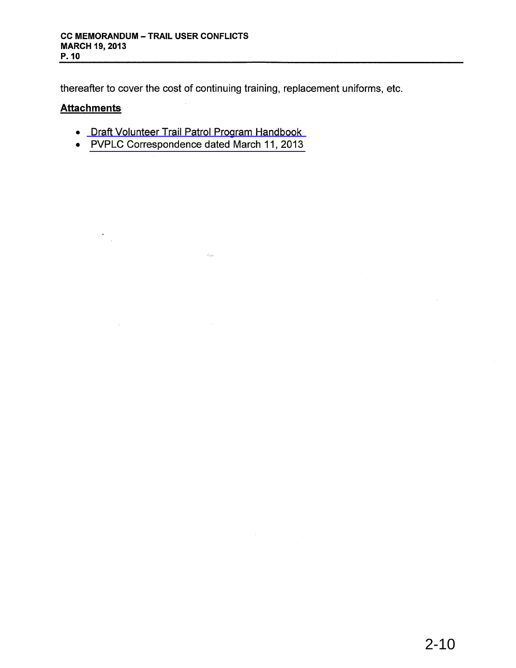thereafter to cover the cost of continuing training, replacement uniforms, etc.

## **Attachments**

 $\epsilon$  $\mathcal{L}_{\text{in}}$ 

 $\mathcal{L}^{\text{max}}$ 

- Draft Volunteer Trail Patrol Program [Handbook](#page-10-0)
- PVPLC [Correspondence](#page-18-0) dated March 11, 2013

 $\omega_{\rm spin}$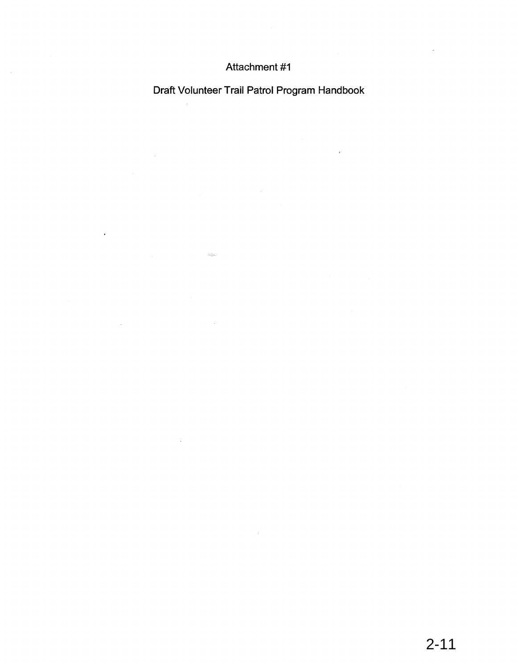## Attachment #1

<span id="page-10-0"></span> $\sim 10^7$ 

 $\ddot{\phantom{a}}$ 

 $\label{eq:G1} \frac{1}{\sqrt{2\pi}}\int_{\mathbb{R}^3}\frac{1}{\sqrt{2\pi}}\int_{\mathbb{R}^3}\frac{1}{\sqrt{2\pi}}\int_{\mathbb{R}^3}\frac{1}{\sqrt{2\pi}}\int_{\mathbb{R}^3}\frac{1}{\sqrt{2\pi}}\int_{\mathbb{R}^3}\frac{1}{\sqrt{2\pi}}\int_{\mathbb{R}^3}\frac{1}{\sqrt{2\pi}}\int_{\mathbb{R}^3}\frac{1}{\sqrt{2\pi}}\int_{\mathbb{R}^3}\frac{1}{\sqrt{2\pi}}\int_{\mathbb{R}^3}\frac{1}{$ 

 $\label{eq:2.1} \frac{1}{\sqrt{2}}\int_{\mathbb{R}^3} \frac{1}{\sqrt{2}}\left(\frac{1}{\sqrt{2}}\right)^2\left(\frac{1}{\sqrt{2}}\right)^2\left(\frac{1}{\sqrt{2}}\right)^2\left(\frac{1}{\sqrt{2}}\right)^2\left(\frac{1}{\sqrt{2}}\right)^2\left(\frac{1}{\sqrt{2}}\right)^2.$ 

Draft Volunteer Trail Patrol Program Handbook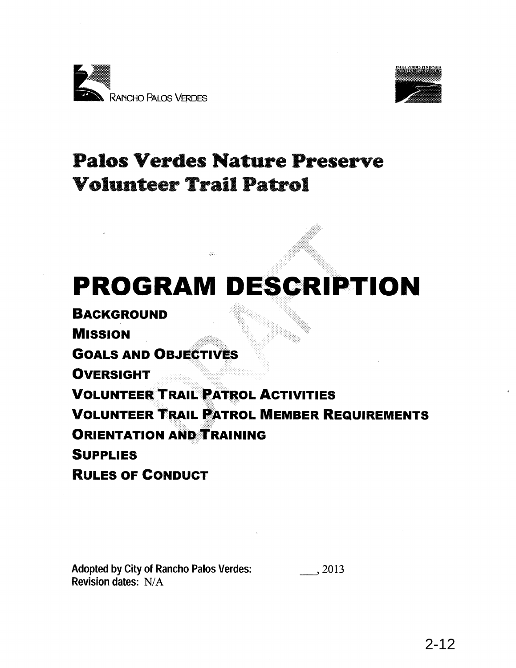



## Palos Verdes Nature Preserve Volunteer Trail Patrol

# **PROGRAM DESCRIPTION**

**BACKGROUND MISSION GOALS AND OBJECTIVES OVERSIGHT VOLUNTEER TRAIL PATROL ACTIVITIES** -:-:-:::, ':-:: **VOLUNTEER TRAIL PATROL MEMBER REQUIREMENTS ORIENTATION AND TRAINING SUPPLIES RULES OF CONDUCT**

Adopted by City of Rancho Palos Verdes: Revision dates: N/A \_,2013

2-12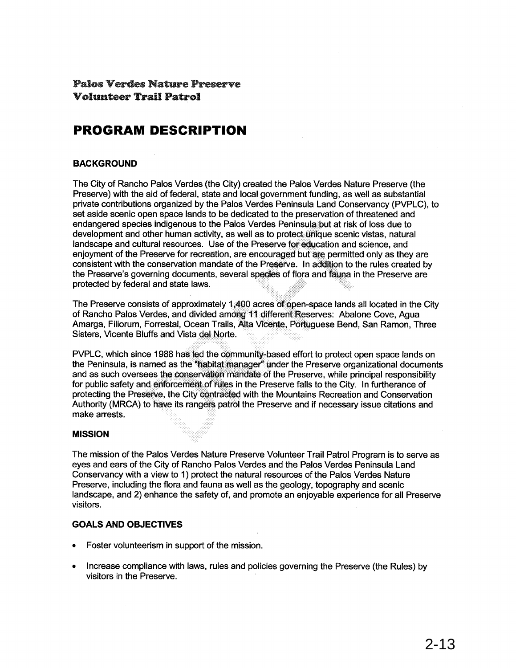## Palos Verdes Nat1.u"e Preserve Volunteer Trail Patrol

## **PROGRAM DESCRIPTION**

#### **BACKGROUND**

The City of Rancho Palos Verdes (the City) created the Palos Verdes Nature Preserve (the Preserve) with the aid of federal, state and local government funding, as well as substantial private contributions organized by the Palos Verdes Peninsula Land Conservancy (PVPLC), to set aside scenic open space lands to be dedicated to the preservation of threatened and endangered species indigenous to the Palos Verdes Peninsula: but at risk of loss due to development and other human activity, as well as to protect unique scenic vistas, natural landscape and cultural resources. Use of the Preserve for education and science, and enjoyment of the Preserve for recreation, are encouraged but are permitted only as they are consistent with the conservation mandate of the Preserve. In addition to the rules created by the Preserve's governing documents, several species of flora and fauna in the Preserve are protected by federal and state laws. ..... .....

The Preserve consists of approximately 1,400 acres of open-space lands all located in the City of Rancho Palos Verdes, and divided among <sup>11</sup> different Reserves: Abalone Cove, Agua Amarga, Filiorum, Forrestal, Ocean Trails, Alta Vicente, Portuguese Bend, San Ramon, Three Sisters, Vicente Bluffs and Vista del Norte.

PVPLC, which since 1988 has led the community-based effort to protect open space lands on the Peninsula, is named as the "habitat manager" under the Preserve organizational documents and as such oversees the conservation mandate of the Preserve, while principal responsibility for public safety and enforcement of rules in the Preserve falls to the City. In furtherance of protecting the Preserve, the City contracted with the Mountains Recreation and Conservation Authority (MRCA) to have its rangers patrol the Preserve and if necessary issue citations and make arrests.

#### **MISSION**

The mission of the Palos Verdes Nature Preserve Volunteer Trail Patrol Program is to serve as eyes and ears of the City of Rancho Palos Verdes and the Palos Verdes Peninsula Land Conservancy with a view to 1) protect the natural resources of the Palos Verdes Nature Preserve, including the flora and fauna as well as the geology, topography and scenic landscape, and 2) enhance the safety of, and promote an enjoyable experience for all Preserve visitors.

#### **GOALS AND OBJECTIVES**

- Foster volunteerism in support of the mission.
- Increase compliance with laws, rules and policies governing the Preserve (the Rules) by visitors in the Preserve.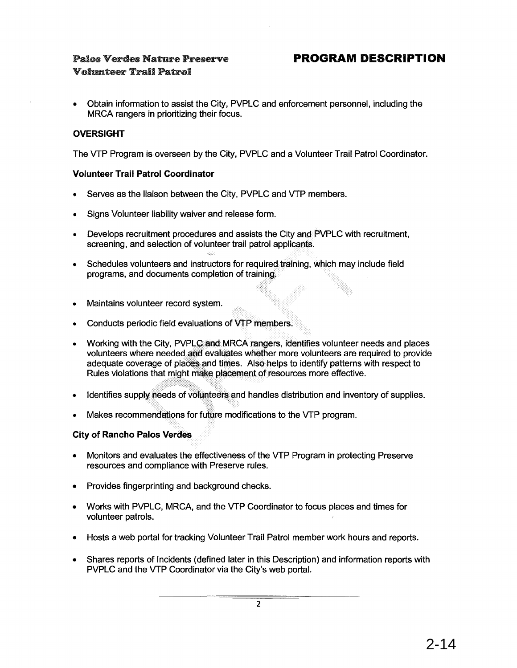## Palos Verdes Nature Preserve Volunteer Trail Patrol

• Obtain information to assist the City, PVPLC and enforcement personnel, including the MRCA rangers in prioritizing their focus.

#### **OVERSIGHT**

The VTP Program is overseen by the City, PVPLC and a Volunteer Trail Patrol Coordinator.

#### **Volunteer Trail Patrol Coordinator**

- Serves as the liaison between the City, PVPLC and VTP members.
- Signs Volunteer liability waiver and release form.
- Develops recruitment procedures and assists the City and PVPLC with recruitment. screening, and selection of volunteer trail patrol applicants.
- Schedules volunteers and instructors for required training, which may include field programs, and documents completion of trainipg.
- Maintains volunteer record system.
- Conducts periodic field evaluations of VTP members.

. '."'. ' ...:"' ,.

- Working with the City, PVPLC and MRCA rangers, identifies volunteer needs and places volunteers where needed and evaluates whether more volunteers are required to provide adequate coverage of places and times. Also helps to identify patterns with respect to Rules violations that might make placement of resources more effective.
- Identifies supply needs of volunteers and handles distribution and inventory of supplies.
- Makes recommendations for future modifications to the VTP program.

#### **City of Rancho Palos Verdes**

- Monitors and evaluates the effectiveness of the VTP Program in protecting Preserve resources and compliance with Preserve rules.
- Provides fingerprinting and background checks.
- Works with PVPLC, MRCA, and the VTP Coordinator to focus places and times for volunteer patrols.
- Hosts a web portal for tracking Volunteer Trail Patrol member work hours and reports.
- Shares reports of Incidents (defined later in this Description) and information reports with PVPLC and the VTP Coordinator via the City's web portal.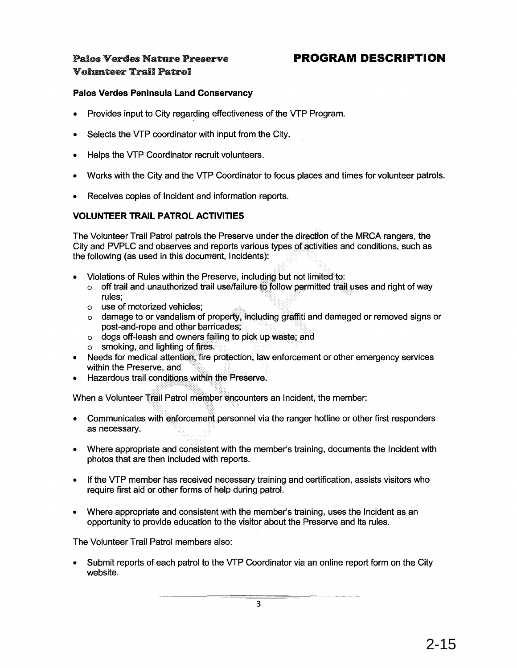## Palos Verdes Nature Preserve Volunteer Trail Patrol

## **PROGRAM DESCRIPTION**

#### **Palos Verdes Peninsula Land Conservancy**

- Provides input to City regarding effectiveness of the VTP Program.
- Selects the VTP coordinator with input from the City.
- Helps the VTP Coordinator recruit volunteers.
- Works with the City and the VTP Coordinator to focus places and times for volunteer patrols.
- Receives copies of Incident and information reports.

#### **VOLUNTEER TRAIL PATROL ACTIVITIES**

The Volunteer Trail Patrol patrols the Preserve under the direction of the MRCA rangers, the City and PVPLC and observes and reports various types of activities and conditions, such as the following (as used in this document, Incidents):

- Violations of Rules within the Preserve, including but not limited to:
	- $\circ$  off trail and unauthorized trail use/failure to follow permitted trail uses and right of way rules:
	- o use of motorized vehicles; .
	- o damage to or vandalism of property, including graffiti and damaged or removed signs or post-and-rope and other barricades;
	- $\circ$  dogs off-leash and owners failing to pick up waste; and
	- $\circ$  smoking, and lighting of fires.
- Needs for medical attention, fire protection, law enforcement or other emergency services within the Preserve, and
- $\bullet$  Hazardous trail conditions within the Preserve.

. ",'.". When a Volunteer Trail Patrol member encounters an Incident, the member:

- Communicates with enforcement personnel via the ranger hotline or other first responders as necessary.
- Where appropriate and consistent with the member's training, documents the Incident with photos that are then included with reports.
- If the VTP member has received necessary training and certification, assists visitors who require first aid or other forms of help during patrol.
- Where appropriate and consistent with the member's training, uses the Incident as an opportunity to provide education to the visitor about the Preserve and its rules.

The Volunteer Trail Patrol members also:

• Submit reports of each patrol to the VTP Coordinator via an online report form on the City website.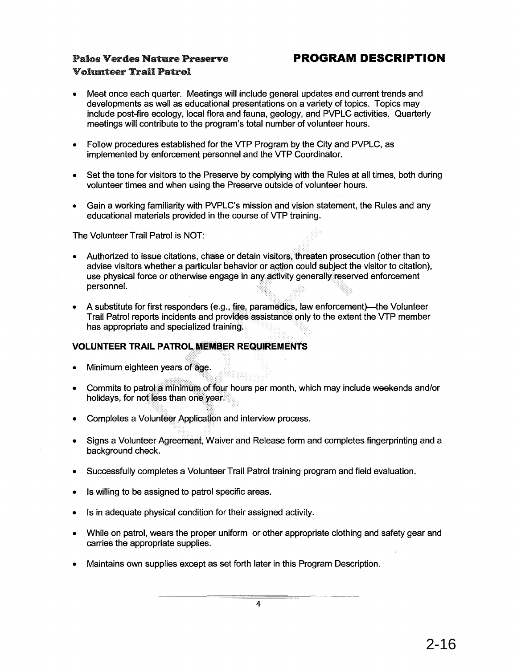## Palos Verdes Nature Preserve Volun.teer Trail Patrol

## **PROGRAM DESCRIPTION**

- Meet once each quarter. Meetings will include general updates and current trends and developments as well as educational presentations on a variety of topics. Topics may include post-fire ecology, local flora and fauna, geology, and PVPLC activities. Quarterly meetings will contribute to the program's total number of volunteer hours.
- Follow procedures established for the VTP Program by the City and PVPLC, as implemented by enforcement personnel and the VTP Coordinator.
- Set the tone for visitors to the Preserve by complying with the Rules at all times, both during volunteer times and when using the Preserve outside of volunteer hours.
- Gain a working familiarity with PVPLC's mission and vision statement, the Rules and any educational materials provided in the course of VTP training.

The Volunteer Trail Patrol is NOT:

- Authorized to issue citations, chase or detain visitors, threaten prosecution (other than to advise visitors whether a particular behavior or action could subject the visitor to citation), use physical force or otherwise engage in any activity generally reserved enforcement personnel. ....
- A substitute for first responders (e.g., fire, paramedics, law enforcement)—the Volunteer Trail Patrol reports incidents and provides assistance only to the extent the VTP member has appropriate and specialized training.

#### **VOLUNTEER TRAIL PATROL MEMBER REQUIREMENTS**

- Minimum eighteen years of age.
- Commits to patrol a minimum of four hours per month, which may include weekends and/or holidays, for not less than one year.
- Completes a Volunteer Application and interview process.
- Signs a Volunteer Agreement, Waiver and Release form and completes fingerprinting and a background check.
- Successfully completes a Volunteer Trail Patrol training program and field evaluation.
- Is willing to be assigned to patrol specific areas.
- Is in adequate physical condition for their assigned activity.
- While on patrol, wears the proper uniform or other appropriate clothing and safety gear and carries the appropriate supplies.
- Maintains own supplies except as set forth later in this Program Description.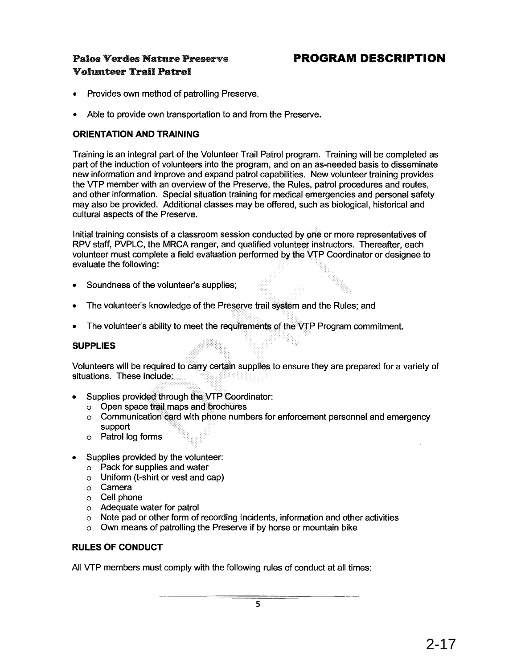## **PROGRAM DESCRIPTION**

## Palos Verdes Nature Preserve Volunteer Trail Patrol

- Provides own method of patrolling Preserve.
- Able to provide own transportation to and from the Preserve.

#### **ORIENTATION AND TRAINING**

Training is an integral part of the Volunteer Trail Patrol program. Training will be completed as part of the induction of volunteers into the program, and on an as-needed basis to disseminate new information and improve and expand patrol capabilities. New volunteer training provides the VTP member with an overview of the Preserve, the Rules, patrol procedures and routes, and other information. Special situation training for medical emergencies and personal safety may also be provided. Additional classes may be offered, such as biological, historical and cultural aspects of the Preserve.

Initial training consists of a classroom session conducted by one or more representatives of RPV staff, PVPLC, the MRCA ranger, and qualified volunteer instructors. Thereafter, each volunteer must complete a field evaluation performed by the VTP Coordinator or designee to evaluate the following:

- Soundness of the volunteer's supplies;
- The volunteer's knowledge of the Preserve trail system and the Rules; and
- The volunteer's ability to meet the requirements of the VTP Program commitment.

#### **SUPPLIES**

Volunteers will be required to carry certain supplies to ensure they are prepared for a variety of situations. These include:

- Supplies provided through the VTP Coordinator:
	- $\circ$  Open space trail maps and brochures
	- $\circ$  Communication card with phone numbers for enforcement personnel and emergency support
	- o Patrol log forms
- Supplies provided by the volunteer:
	- o Pack for supplies and water
	- o Uniform (t-shirt or vest and cap)
	- o Camera
	- o Cell phone
	- o Adequate water for patrol
	- o Note pad or other form of recording Incidents, information and other activities
	- o Own means of patrolling the Preserve if by horse or mountain bike

#### **RULES OF CONDUCT**

All VTP members must comply with the following rules of conduct at all times: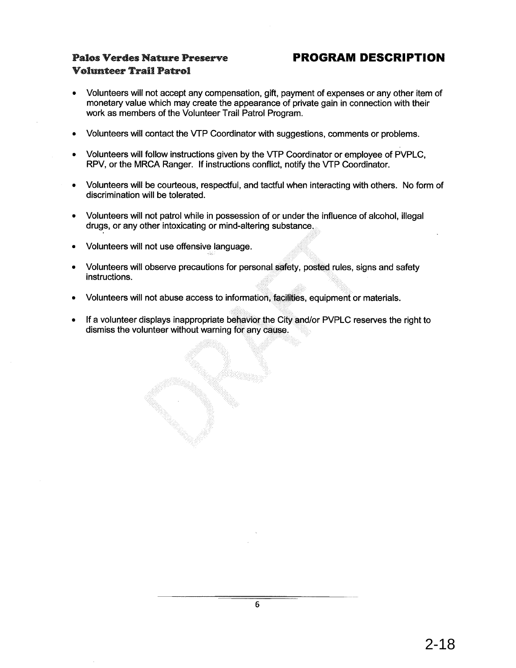## Palos Verdes Nature Preserve Volunteer Trail Patrol

## **PROGRAM DESCRIPTION**

- Volunteers will not accept any compensation, gift, payment of expenses or any other item of monetary value which may create the appearance of private gain in connection with their work as members of the Volunteer Trail Patrol Program.
- Volunteers will contact the VTP Coordinator with suggestions, comments or problems.
- Volunteers will follow instructions given by the VTP Coordinator or employee of PVPLC, RPV, or the MRCA Ranger. If instructions conflict, notify the VTP Coordinator.
- Volunteers will be courteous, respectful, and tactful when interacting with others. No form of discrimination will be tolerated.
- Volunteers will not patrol while in possession of or under the influence of alcohol, illegal drugs, or any other intoxicating or mind-altering substance...
- Volunteers will not use offensive language.
- Volunteers will observe precautions for personal safety, posted rules, signs and safety instructions.
- Volunteers will not abuse access to information, facilities, equipment or materials.
- If a volunteer displays inappropriate behavior the City and/or PVPLC reserves the right to dismiss the volunteer without warning for any cause.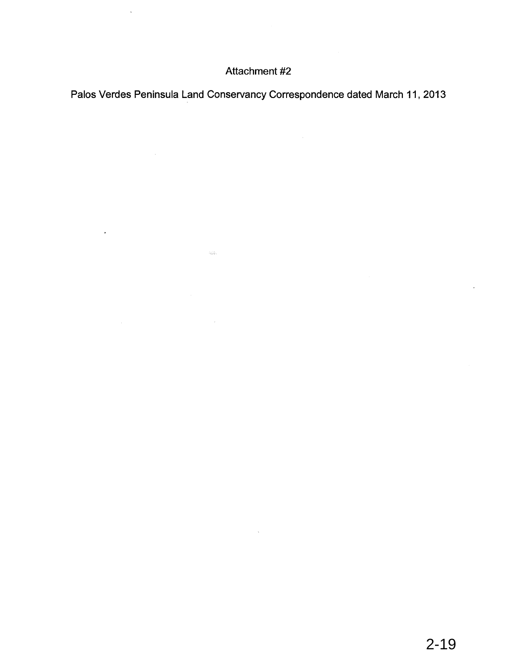## Attachment #2

 $\bar{\mathbf{v}}$ 

 $\Delta \sim 10^{11}$  km s  $^{-1}$ 

<span id="page-18-0"></span>Palos Verdes Peninsula Land Conservancy Correspondence dated March 11, 2013

 $\sim$   $\sim$ 

 $\sim 255$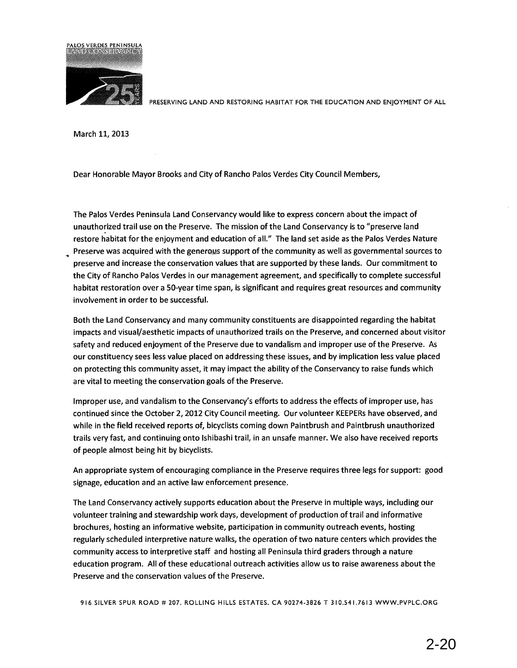

PRESERVING LAND AND RESTORING HABITAT FOR THE EDUCATION AND ENJOYMENT OF ALL

March 11, 2013

Dear Honorable Mayor Brooks and City of Rancho Palos Verdes City Council Members,

The Palos Verdes Peninsula Land Conservancy would like to express concern about the impact of unauthorized trail use on the Preserve. The mission of the Land Conservancy is to "preserve land restore habitat for the enjoyment and education of all." The land set aside as the Palos Verdes Nature Preserve was acquired with the generows support of the community as well as governmental sources to preserve and increase the conservation values that are supported by these lands. Our commitment to the City of Rancho Palos Verdes in our management agreement, and specifically to complete successful habitat restoration over a 50-year time span, is significant and requires great resources and community involvement in order to be successful.

Both the Land Conservancy and many community constituents are disappointed regarding the habitat impacts and visual/aesthetic impacts of unauthorized trails on the Preserve, and concerned about visitor safety and reduced enjoyment of the Preserve due to vandalism and improper use of the Preserve. As our constituency sees less value placed on addressing these issues, and by implication less value placed on protecting this community asset, it may impact the ability of the Conservancy to raise funds which are vital to meeting the conservation goals of the Preserve.

Improper use, and vandalism to the Conservancy's efforts to address the effects of improper use, has continued since the October 2, 2012 City Council meeting. Our volunteer KEEPERs have observed, and while in the field received reports of, bicyclists coming down Paintbrush and Paintbrush unauthorized trails very fast, and continuing onto Ishibashi trail, in an unsafe manner. We also have received reports of people almost being hit by bicyclists.

An appropriate system of encouraging compliance in the Preserve requires three legs for support: good signage, education and an active law enforcement presence.

The Land Conservancy actively supports education about the Preserve in multiple ways, including our volunteer training and stewardship work days, development of production of trail and informative brochures, hosting an informative website, participation in community outreach events, hosting regularly scheduled interpretive nature walks, the operation oftwo nature centers which provides the community access to interpretive staff and hosting all Peninsula third graders through a nature education program. All of these educational outreach activities allow us to raise awareness about the Preserve and the conservation values of the Preserve.

916 SILVER SPUR ROAD # 207. ROLLING HILLS ESTATES. CA 90274-3826 T 310.541.7613 WWW.PVPLC.ORG